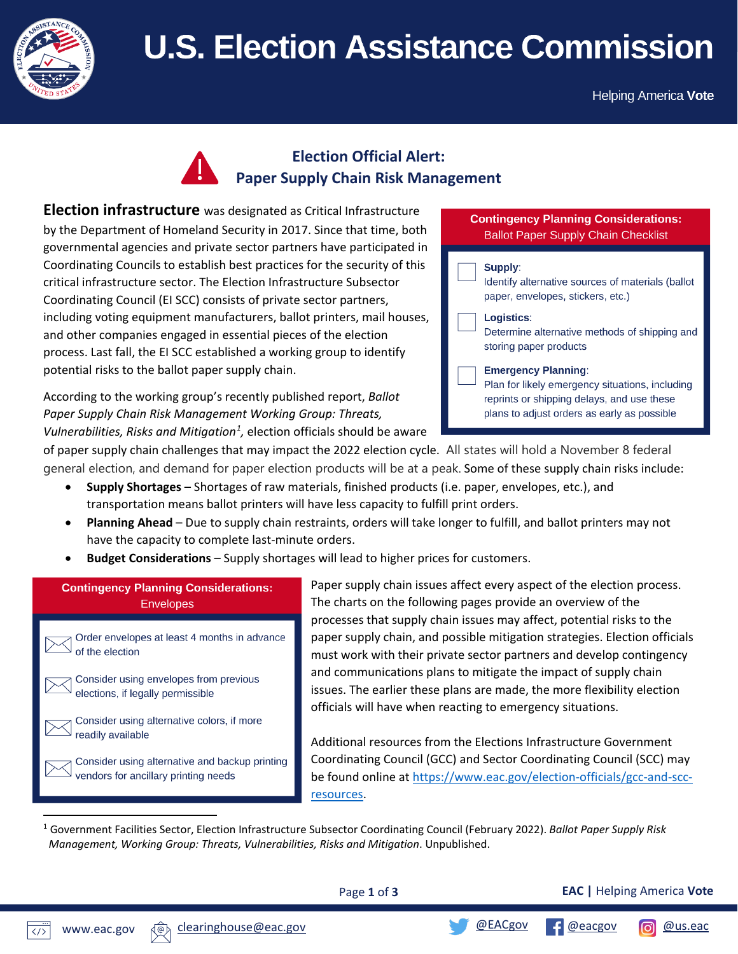

# **U.S. Election Assistance Commission**

Helping America **Vote** 

## **Election Official Alert: Paper Supply Chain Risk Management**

**Election infrastructure** was designated as Critical Infrastructure by the Department of Homeland Security in 2017. Since that time, both governmental agencies and private sector partners have participated in Coordinating Councils to establish best practices for the security of this critical infrastructure sector. The Election Infrastructure Subsector Coordinating Council (EI SCC) consists of private sector partners, including voting equipment manufacturers, ballot printers, mail houses, and other companies engaged in essential pieces of the election process. Last fall, the EI SCC established a working group to identify potential risks to the ballot paper supply chain.

According to the working group's recently published report, *Ballot Paper Supply Chain Risk Management Working Group: Threats,*  Vulnerabilities, Risks and Mitigation<sup>[1](#page-0-0)</sup>, election officials should be aware

#### **Contingency Planning Considerations: Ballot Paper Supply Chain Checklist**



of paper supply chain challenges that may impact the 2022 election cycle. All states will hold a November 8 federal general election, and demand for paper election products will be at a peak. Some of these supply chain risks include:

- **Supply Shortages**  Shortages of raw materials, finished products (i.e. paper, envelopes, etc.), and transportation means ballot printers will have less capacity to fulfill print orders.
- **Planning Ahead** Due to supply chain restraints, orders will take longer to fulfill, and ballot printers may not have the capacity to complete last-minute orders.
- **Budget Considerations** Supply shortages will lead to higher prices for customers.

### **Contingency Planning Considerations: Envelopes**

Order envelopes at least 4 months in advance of the election

Consider using envelopes from previous elections, if legally permissible

Consider using alternative colors, if more readily available

Consider using alternative and backup printing vendors for ancillary printing needs

Paper supply chain issues affect every aspect of the election process. The charts on the following pages provide an overview of the processes that supply chain issues may affect, potential risks to the paper supply chain, and possible mitigation strategies. Election officials must work with their private sector partners and develop contingency and communications plans to mitigate the impact of supply chain issues. The earlier these plans are made, the more flexibility election officials will have when reacting to emergency situations.

Additional resources from the Elections Infrastructure Government Coordinating Council (GCC) and Sector Coordinating Council (SCC) may be found online at [https://www.eac.gov/election-officials/gcc-and-scc](https://www.eac.gov/election-officials/gcc-and-scc-resources)[resources.](https://www.eac.gov/election-officials/gcc-and-scc-resources)

<span id="page-0-0"></span><sup>1</sup> Government Facilities Sector, Election Infrastructure Subsector Coordinating Council (February 2022). *Ballot Paper Supply Risk Management, Working Group: Threats, Vulnerabilities, Risks and Mitigation*. Unpublished.

Page **1** of **3**

**EAC |** Helping America **Vote**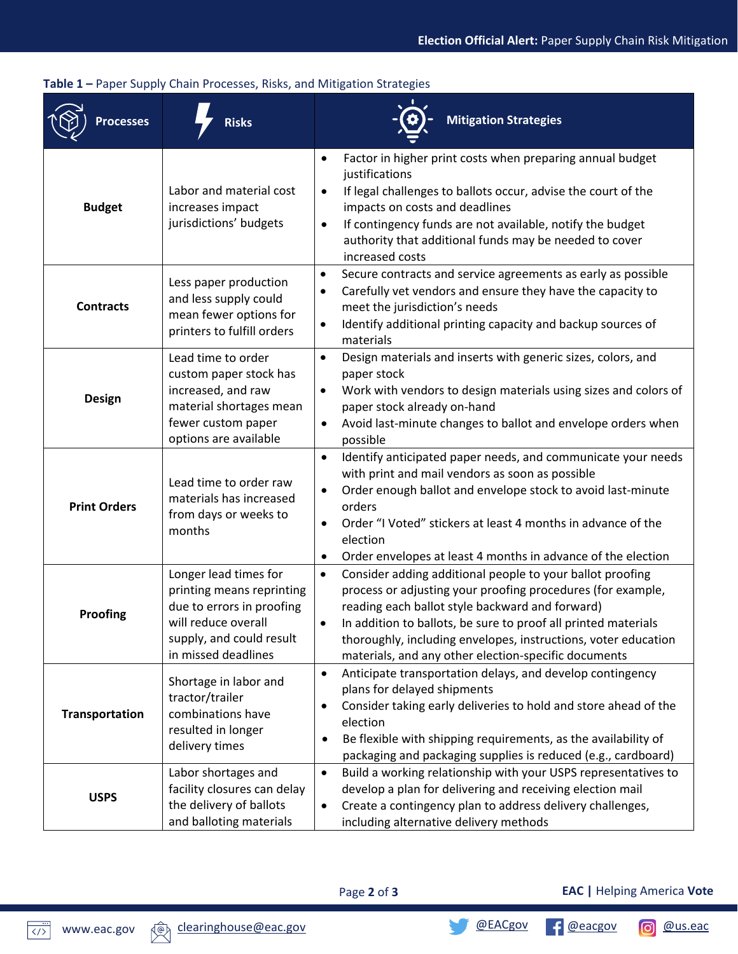| <b>Processes</b>    | <b>Risks</b>                                                                                                                                              | <b>Mitigation Strategies</b>                                                                                                                                                                                                                                                                                                                                                         |
|---------------------|-----------------------------------------------------------------------------------------------------------------------------------------------------------|--------------------------------------------------------------------------------------------------------------------------------------------------------------------------------------------------------------------------------------------------------------------------------------------------------------------------------------------------------------------------------------|
| <b>Budget</b>       | Labor and material cost<br>increases impact<br>jurisdictions' budgets                                                                                     | Factor in higher print costs when preparing annual budget<br>$\bullet$<br>justifications<br>If legal challenges to ballots occur, advise the court of the<br>$\bullet$<br>impacts on costs and deadlines<br>If contingency funds are not available, notify the budget<br>$\bullet$<br>authority that additional funds may be needed to cover<br>increased costs                      |
| <b>Contracts</b>    | Less paper production<br>and less supply could<br>mean fewer options for<br>printers to fulfill orders                                                    | Secure contracts and service agreements as early as possible<br>$\bullet$<br>Carefully vet vendors and ensure they have the capacity to<br>$\bullet$<br>meet the jurisdiction's needs<br>Identify additional printing capacity and backup sources of<br>$\bullet$<br>materials                                                                                                       |
| <b>Design</b>       | Lead time to order<br>custom paper stock has<br>increased, and raw<br>material shortages mean<br>fewer custom paper<br>options are available              | Design materials and inserts with generic sizes, colors, and<br>$\bullet$<br>paper stock<br>Work with vendors to design materials using sizes and colors of<br>$\bullet$<br>paper stock already on-hand<br>Avoid last-minute changes to ballot and envelope orders when<br>$\bullet$<br>possible                                                                                     |
| <b>Print Orders</b> | Lead time to order raw<br>materials has increased<br>from days or weeks to<br>months                                                                      | Identify anticipated paper needs, and communicate your needs<br>$\bullet$<br>with print and mail vendors as soon as possible<br>Order enough ballot and envelope stock to avoid last-minute<br>$\bullet$<br>orders<br>Order "I Voted" stickers at least 4 months in advance of the<br>election<br>Order envelopes at least 4 months in advance of the election<br>$\bullet$          |
| Proofing            | Longer lead times for<br>printing means reprinting<br>due to errors in proofing<br>will reduce overall<br>supply, and could result<br>in missed deadlines | $\bullet$<br>Consider adding additional people to your ballot proofing<br>process or adjusting your proofing procedures (for example,<br>reading each ballot style backward and forward)<br>In addition to ballots, be sure to proof all printed materials<br>thoroughly, including envelopes, instructions, voter education<br>materials, and any other election-specific documents |
| Transportation      | Shortage in labor and<br>tractor/trailer<br>combinations have<br>resulted in longer<br>delivery times                                                     | Anticipate transportation delays, and develop contingency<br>$\bullet$<br>plans for delayed shipments<br>Consider taking early deliveries to hold and store ahead of the<br>٠<br>election<br>Be flexible with shipping requirements, as the availability of<br>٠<br>packaging and packaging supplies is reduced (e.g., cardboard)                                                    |
| <b>USPS</b>         | Labor shortages and<br>facility closures can delay<br>the delivery of ballots<br>and balloting materials                                                  | Build a working relationship with your USPS representatives to<br>$\bullet$<br>develop a plan for delivering and receiving election mail<br>Create a contingency plan to address delivery challenges,<br>٠<br>including alternative delivery methods                                                                                                                                 |

#### **Table 1 –** Paper Supply Chain Processes, Risks, and Mitigation Strategies

Page **2** of **3**

**EAC |** Helping America **Vote**